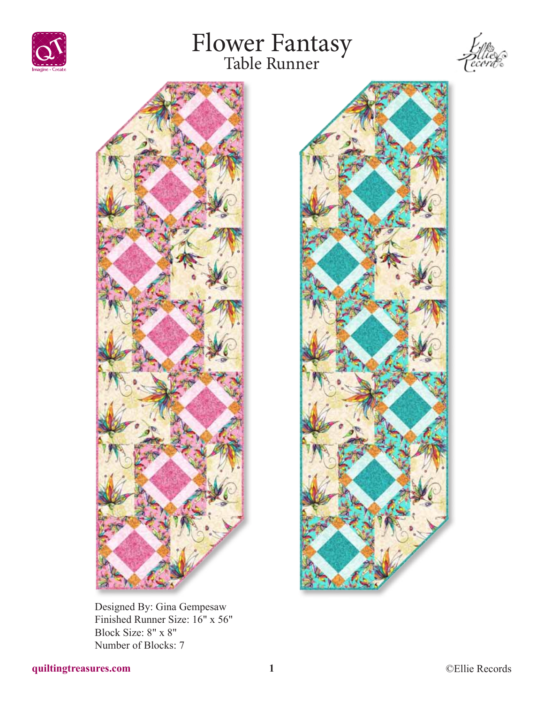







Designed By: Gina Gempesaw Finished Runner Size: 16" x 56" Block Size: 8" x 8" Number of Blocks: 7

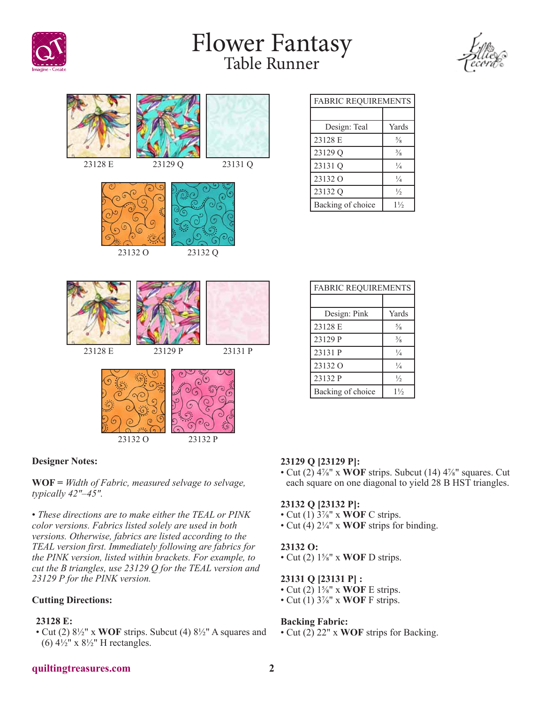

## Flower Fantasy Table Runner





### **Designer Notes:**

**WOF =** *Width of Fabric, measured selvage to selvage, typically 42"–45".*

• *These directions are to make either the TEAL or PINK color versions. Fabrics listed solely are used in both versions. Otherwise, fabrics are listed according to the TEAL version first. Immediately following are fabrics for the PINK version, listed within brackets. For example, to cut the B triangles, use 23129 Q for the TEAL version and 23129 P for the PINK version.*

### **Cutting Directions:**

### **23128 E:**

• Cut (2) 8½" x **WOF** strips. Subcut (4) 8½" A squares and (6)  $4\frac{1}{2}$ " x  $8\frac{1}{2}$ " H rectangles.

| <b>FABRIC REQUIREMENTS</b> |                |
|----------------------------|----------------|
|                            |                |
| Design: Teal               | Yards          |
| 23128 E                    | $\frac{5}{8}$  |
| 23129 Q                    | $\frac{3}{8}$  |
| 23131 Q                    | $\frac{1}{4}$  |
| 23132 O                    | $\frac{1}{4}$  |
| 23132 Q                    | $\frac{1}{2}$  |
| Backing of choice          | $1\frac{1}{2}$ |

| <b>FABRIC REQUIREMENTS</b> |                |
|----------------------------|----------------|
|                            |                |
| Design: Pink               | Yards          |
| 23128 E                    | $\frac{5}{8}$  |
| 23129 P                    | $\frac{3}{8}$  |
| 23131 P                    | $\frac{1}{4}$  |
| 23132 O                    | $\frac{1}{4}$  |
| 23132 P                    | $\frac{1}{2}$  |
| Backing of choice          | $1\frac{1}{2}$ |

### **23129 Q [23129 P]:**

• Cut (2) 4⅞" x **WOF** strips. Subcut (14) 4⅞" squares. Cut each square on one diagonal to yield 28 B HST triangles.

#### **23132 Q [23132 P]:**

- Cut (1) 3⅞" x **WOF** C strips.
- Cut (4) 2¼" x **WOF** strips for binding.

#### **23132 O:**

• Cut (2) 1⅝" x **WOF** D strips.

### **23131 Q [23131 P] :**

- Cut (2) 1⅝" x **WOF** E strips.
- Cut (1) 3⅞" x **WOF** F strips.

### **Backing Fabric:**

• Cut (2) 22" x **WOF** strips for Backing.

### **quiltingtreasures.com 2**